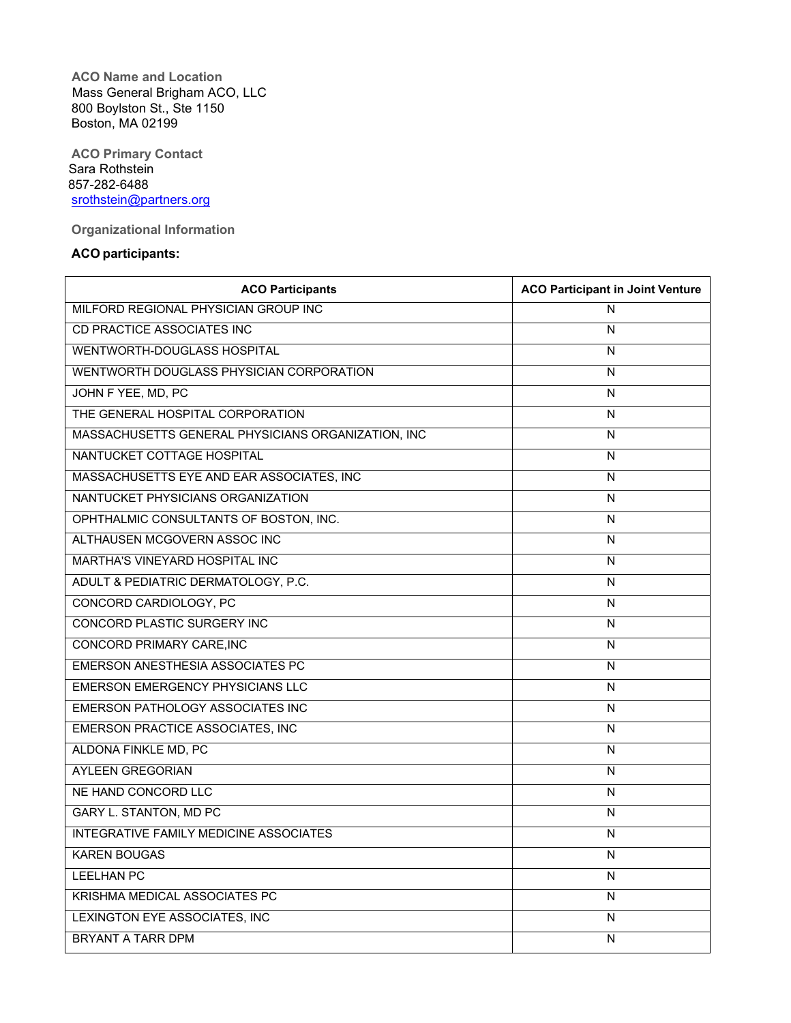**ACO Name and Location** Mass General Brigham ACO, LLC 800 Boylston St., Ste 1150 Boston, MA 02199

**ACO Primary Contact** Sara Rothstein 857-282-6488 [srothstein@partners.org](mailto:srothstein@partners.org)

**Organizational Information**

## **ACO participants:**

| <b>ACO Participants</b>                            | <b>ACO Participant in Joint Venture</b> |
|----------------------------------------------------|-----------------------------------------|
| MILFORD REGIONAL PHYSICIAN GROUP INC               | N                                       |
| CD PRACTICE ASSOCIATES INC                         | N                                       |
| WENTWORTH-DOUGLASS HOSPITAL                        | N                                       |
| WENTWORTH DOUGLASS PHYSICIAN CORPORATION           | N                                       |
| JOHN F YEE, MD, PC                                 | N                                       |
| THE GENERAL HOSPITAL CORPORATION                   | N                                       |
| MASSACHUSETTS GENERAL PHYSICIANS ORGANIZATION, INC | N                                       |
| NANTUCKET COTTAGE HOSPITAL                         | N                                       |
| MASSACHUSETTS EYE AND EAR ASSOCIATES, INC          | N                                       |
| NANTUCKET PHYSICIANS ORGANIZATION                  | N                                       |
| OPHTHALMIC CONSULTANTS OF BOSTON, INC.             | N                                       |
| ALTHAUSEN MCGOVERN ASSOC INC                       | N                                       |
| <b>MARTHA'S VINEYARD HOSPITAL INC</b>              | N                                       |
| ADULT & PEDIATRIC DERMATOLOGY, P.C.                | N                                       |
| CONCORD CARDIOLOGY, PC                             | N                                       |
| <b>CONCORD PLASTIC SURGERY INC</b>                 | N                                       |
| CONCORD PRIMARY CARE, INC                          | N                                       |
| EMERSON ANESTHESIA ASSOCIATES PC                   | N                                       |
| <b>EMERSON EMERGENCY PHYSICIANS LLC</b>            | N                                       |
| <b>EMERSON PATHOLOGY ASSOCIATES INC</b>            | N                                       |
| <b>EMERSON PRACTICE ASSOCIATES, INC</b>            | N                                       |
| ALDONA FINKLE MD, PC                               | $\overline{N}$                          |
| <b>AYLEEN GREGORIAN</b>                            | N                                       |
| NE HAND CONCORD LLC                                | N                                       |
| <b>GARY L. STANTON, MD PC</b>                      | N                                       |
| <b>INTEGRATIVE FAMILY MEDICINE ASSOCIATES</b>      | N                                       |
| <b>KAREN BOUGAS</b>                                | N                                       |
| <b>LEELHAN PC</b>                                  | N                                       |
| <b>KRISHMA MEDICAL ASSOCIATES PC</b>               | N                                       |
| LEXINGTON EYE ASSOCIATES, INC                      | N                                       |
| <b>BRYANT A TARR DPM</b>                           | N                                       |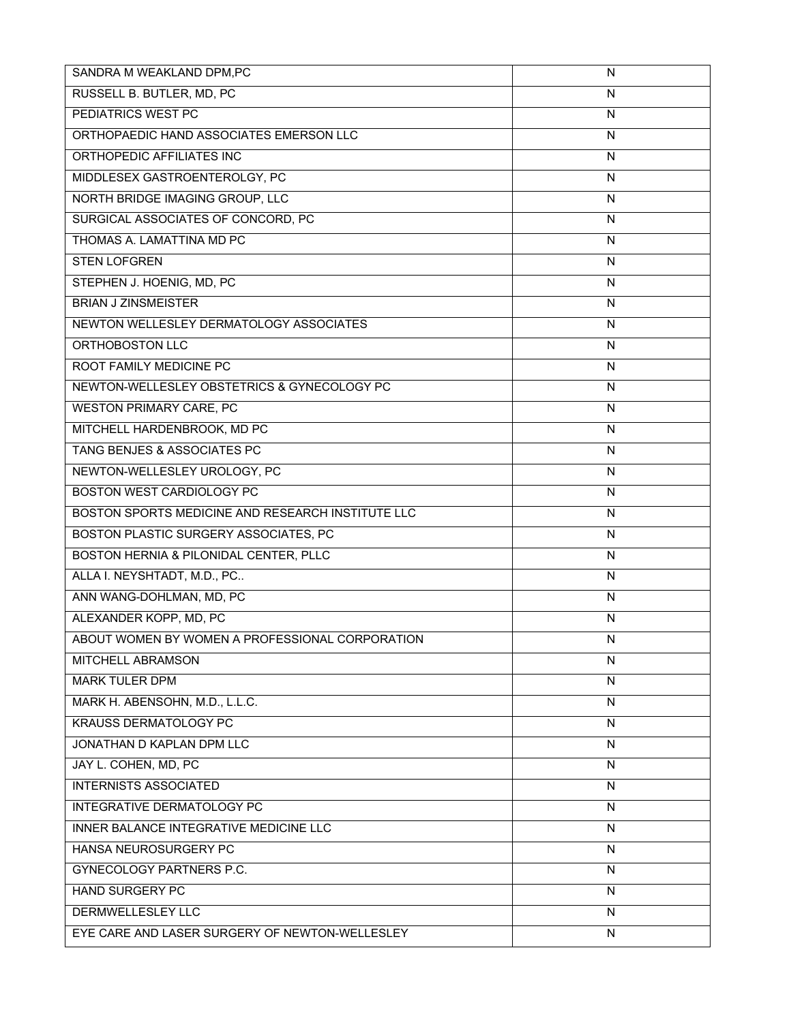| SANDRA M WEAKLAND DPM,PC                          | $\mathsf{N}$   |
|---------------------------------------------------|----------------|
| RUSSELL B. BUTLER, MD, PC                         | N              |
| PEDIATRICS WEST PC                                | N              |
| ORTHOPAEDIC HAND ASSOCIATES EMERSON LLC           | ${\sf N}$      |
| ORTHOPEDIC AFFILIATES INC                         | N              |
| MIDDLESEX GASTROENTEROLGY, PC                     | $\mathsf{N}$   |
| NORTH BRIDGE IMAGING GROUP, LLC                   | N              |
| SURGICAL ASSOCIATES OF CONCORD, PC                | ${\sf N}$      |
| THOMAS A. LAMATTINA MD PC                         | N              |
| <b>STEN LOFGREN</b>                               | N              |
| STEPHEN J. HOENIG, MD, PC                         | ${\sf N}$      |
| <b>BRIAN J ZINSMEISTER</b>                        | $\mathsf{N}$   |
| NEWTON WELLESLEY DERMATOLOGY ASSOCIATES           | N              |
| ORTHOBOSTON LLC                                   | N              |
| ROOT FAMILY MEDICINE PC                           | N              |
| NEWTON-WELLESLEY OBSTETRICS & GYNECOLOGY PC       | N              |
| <b>WESTON PRIMARY CARE, PC</b>                    | N              |
| MITCHELL HARDENBROOK, MD PC                       | $\mathsf{N}$   |
| TANG BENJES & ASSOCIATES PC                       | N              |
| NEWTON-WELLESLEY UROLOGY, PC                      | N              |
| BOSTON WEST CARDIOLOGY PC                         | N              |
| BOSTON SPORTS MEDICINE AND RESEARCH INSTITUTE LLC | N              |
| BOSTON PLASTIC SURGERY ASSOCIATES, PC             | $\mathsf{N}$   |
| BOSTON HERNIA & PILONIDAL CENTER, PLLC            | ${\sf N}$      |
| ALLA I. NEYSHTADT, M.D., PC                       | $\overline{N}$ |
| ANN WANG-DOHLMAN, MD, PC                          | N              |
| ALEXANDER KOPP, MD, PC                            | N              |
| ABOUT WOMEN BY WOMEN A PROFESSIONAL CORPORATION   | N              |
| MITCHELL ABRAMSON                                 | N              |
| <b>MARK TULER DPM</b>                             | N              |
| MARK H. ABENSOHN, M.D., L.L.C.                    | N              |
| <b>KRAUSS DERMATOLOGY PC</b>                      | N              |
| JONATHAN D KAPLAN DPM LLC                         | N              |
| JAY L. COHEN, MD, PC                              | N              |
| <b>INTERNISTS ASSOCIATED</b>                      | N              |
| INTEGRATIVE DERMATOLOGY PC                        | N              |
| INNER BALANCE INTEGRATIVE MEDICINE LLC            | $\overline{N}$ |
| HANSA NEUROSURGERY PC                             | N              |
| GYNECOLOGY PARTNERS P.C.                          | N              |
| <b>HAND SURGERY PC</b>                            | N              |
| DERMWELLESLEY LLC                                 | N              |
| EYE CARE AND LASER SURGERY OF NEWTON-WELLESLEY    | N              |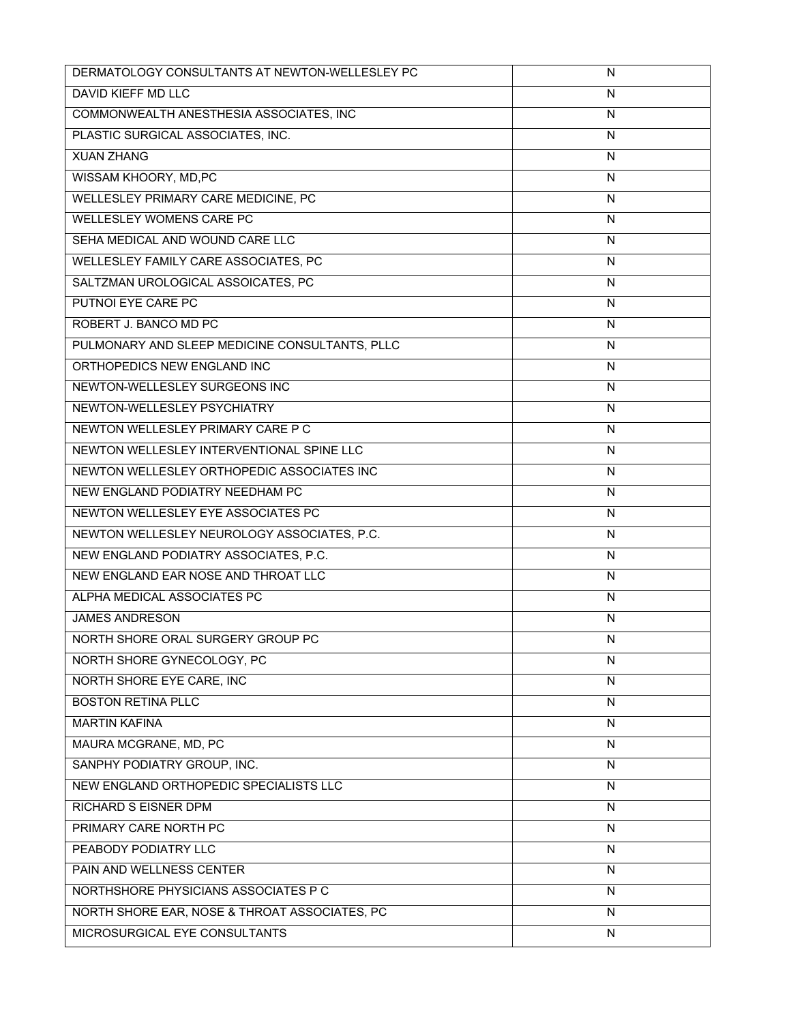| DERMATOLOGY CONSULTANTS AT NEWTON-WELLESLEY PC | N                       |
|------------------------------------------------|-------------------------|
| DAVID KIEFF MD LLC                             | N                       |
| COMMONWEALTH ANESTHESIA ASSOCIATES, INC        | $\overline{\mathsf{N}}$ |
| PLASTIC SURGICAL ASSOCIATES, INC.              | N                       |
| <b>XUAN ZHANG</b>                              | N                       |
| WISSAM KHOORY, MD,PC                           | N                       |
| WELLESLEY PRIMARY CARE MEDICINE, PC            | N                       |
| WELLESLEY WOMENS CARE PC                       | N                       |
| SEHA MEDICAL AND WOUND CARE LLC                | N                       |
| WELLESLEY FAMILY CARE ASSOCIATES, PC           | N                       |
| SALTZMAN UROLOGICAL ASSOICATES, PC             | N                       |
| PUTNOI EYE CARE PC                             | N                       |
| ROBERT J. BANCO MD PC                          | N                       |
| PULMONARY AND SLEEP MEDICINE CONSULTANTS, PLLC | N                       |
| ORTHOPEDICS NEW ENGLAND INC                    | N                       |
| NEWTON-WELLESLEY SURGEONS INC                  | N                       |
| NEWTON-WELLESLEY PSYCHIATRY                    | N                       |
| NEWTON WELLESLEY PRIMARY CARE P C              | N                       |
| NEWTON WELLESLEY INTERVENTIONAL SPINE LLC      | N                       |
| NEWTON WELLESLEY ORTHOPEDIC ASSOCIATES INC     | $\overline{\mathsf{N}}$ |
| NEW ENGLAND PODIATRY NEEDHAM PC                | N                       |
| NEWTON WELLESLEY EYE ASSOCIATES PC             | N                       |
| NEWTON WELLESLEY NEUROLOGY ASSOCIATES, P.C.    | N                       |
| NEW ENGLAND PODIATRY ASSOCIATES, P.C.          | N                       |
| NEW ENGLAND EAR NOSE AND THROAT LLC            | ${\sf N}$               |
| ALPHA MEDICAL ASSOCIATES PC                    | N                       |
| <b>JAMES ANDRESON</b>                          | N                       |
| NORTH SHORE ORAL SURGERY GROUP PC              | N                       |
| NORTH SHORE GYNECOLOGY, PC                     | N                       |
| NORTH SHORE EYE CARE, INC                      | N                       |
| <b>BOSTON RETINA PLLC</b>                      | N                       |
| <b>MARTIN KAFINA</b>                           | N                       |
| MAURA MCGRANE, MD, PC                          | N                       |
| SANPHY PODIATRY GROUP, INC.                    | N                       |
| NEW ENGLAND ORTHOPEDIC SPECIALISTS LLC         | ${\sf N}$               |
| <b>RICHARD S EISNER DPM</b>                    | N                       |
| PRIMARY CARE NORTH PC                          | N                       |
| PEABODY PODIATRY LLC                           | ${\sf N}$               |
| PAIN AND WELLNESS CENTER                       | N                       |
| NORTHSHORE PHYSICIANS ASSOCIATES P C           | N                       |
| NORTH SHORE EAR, NOSE & THROAT ASSOCIATES, PC  | N                       |
| MICROSURGICAL EYE CONSULTANTS                  | N                       |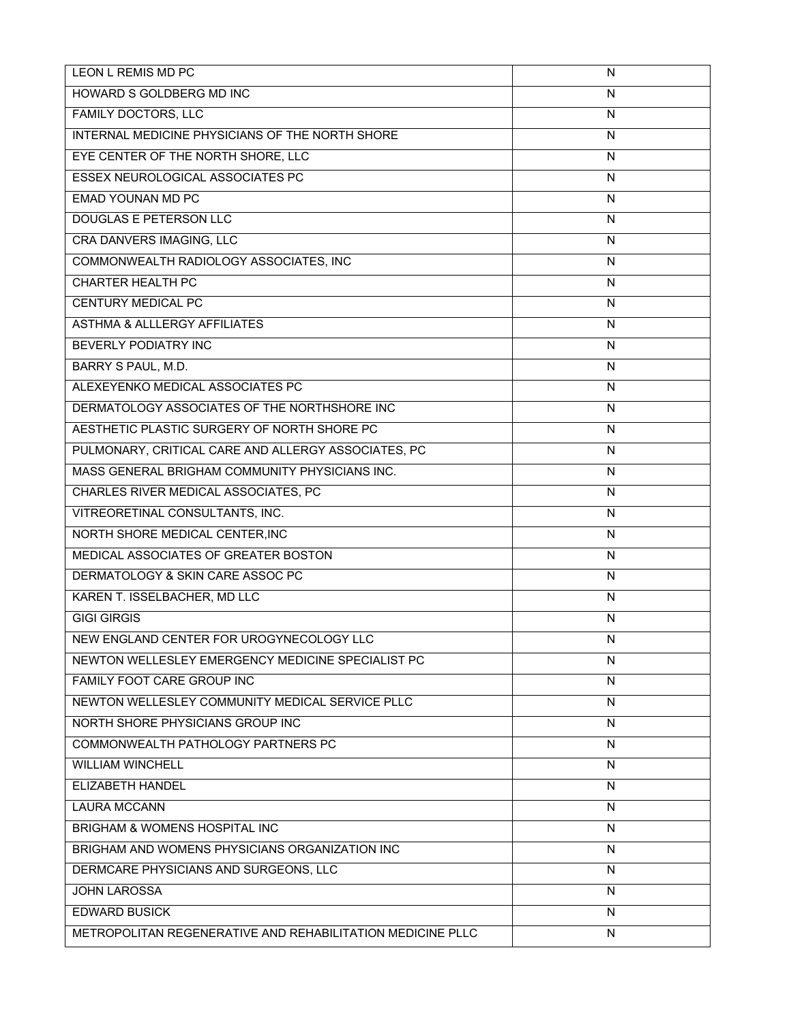| LEON L REMIS MD PC                                         | N            |
|------------------------------------------------------------|--------------|
| HOWARD S GOLDBERG MD INC                                   | N            |
| <b>FAMILY DOCTORS, LLC</b>                                 | $\mathsf{N}$ |
| INTERNAL MEDICINE PHYSICIANS OF THE NORTH SHORE            | N            |
| EYE CENTER OF THE NORTH SHORE, LLC                         | $\mathsf{N}$ |
| ESSEX NEUROLOGICAL ASSOCIATES PC                           | N            |
| <b>EMAD YOUNAN MD PC</b>                                   | N            |
| <b>DOUGLAS E PETERSON LLC</b>                              | N            |
| CRA DANVERS IMAGING, LLC                                   | N            |
| COMMONWEALTH RADIOLOGY ASSOCIATES, INC                     | N            |
| <b>CHARTER HEALTH PC</b>                                   | ${\sf N}$    |
| <b>CENTURY MEDICAL PC</b>                                  | N            |
| <b>ASTHMA &amp; ALLLERGY AFFILIATES</b>                    | N            |
| BEVERLY PODIATRY INC                                       | N            |
| BARRY S PAUL, M.D.                                         | N            |
| ALEXEYENKO MEDICAL ASSOCIATES PC                           | $\mathsf{N}$ |
| DERMATOLOGY ASSOCIATES OF THE NORTHSHORE INC               | $\mathsf{N}$ |
| AESTHETIC PLASTIC SURGERY OF NORTH SHORE PC                | N            |
| PULMONARY, CRITICAL CARE AND ALLERGY ASSOCIATES, PC        | N            |
| MASS GENERAL BRIGHAM COMMUNITY PHYSICIANS INC.             | N            |
| CHARLES RIVER MEDICAL ASSOCIATES, PC                       | N            |
| VITREORETINAL CONSULTANTS, INC.                            | $\mathsf{N}$ |
| NORTH SHORE MEDICAL CENTER, INC                            | N            |
| MEDICAL ASSOCIATES OF GREATER BOSTON                       | N            |
| DERMATOLOGY & SKIN CARE ASSOC PC                           | N            |
| KAREN T. ISSELBACHER, MD LLC                               | N            |
| <b>GIGI GIRGIS</b>                                         | N            |
| NEW ENGLAND CENTER FOR UROGYNECOLOGY LLC                   | ${\sf N}$    |
| NEWTON WELLESLEY EMERGENCY MEDICINE SPECIALIST PC          | N            |
| FAMILY FOOT CARE GROUP INC                                 | N            |
| NEWTON WELLESLEY COMMUNITY MEDICAL SERVICE PLLC            | N            |
| NORTH SHORE PHYSICIANS GROUP INC                           | N            |
| COMMONWEALTH PATHOLOGY PARTNERS PC                         | N            |
| <b>WILLIAM WINCHELL</b>                                    | N            |
| ELIZABETH HANDEL                                           | N            |
| <b>LAURA MCCANN</b>                                        | ${\sf N}$    |
| BRIGHAM & WOMENS HOSPITAL INC                              | N            |
| BRIGHAM AND WOMENS PHYSICIANS ORGANIZATION INC             | N            |
| DERMCARE PHYSICIANS AND SURGEONS, LLC                      | N            |
| <b>JOHN LAROSSA</b>                                        | N            |
| <b>EDWARD BUSICK</b>                                       | N            |
| METROPOLITAN REGENERATIVE AND REHABILITATION MEDICINE PLLC | N            |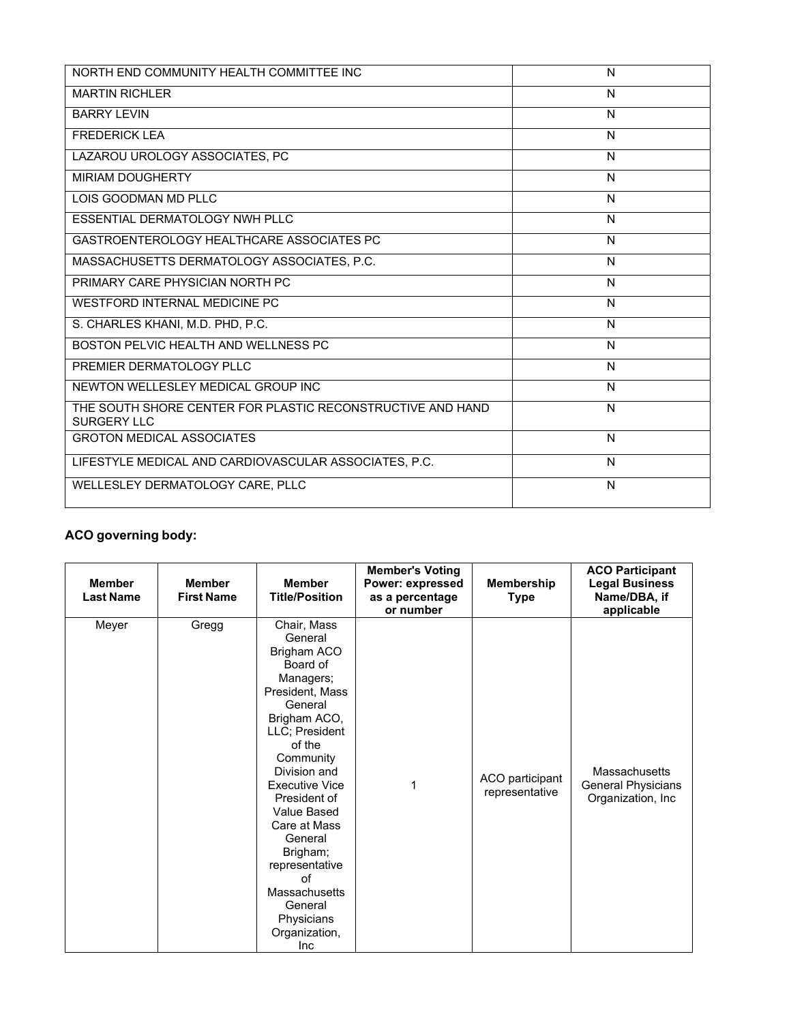| NORTH END COMMUNITY HEALTH COMMITTEE INC                                         | N |
|----------------------------------------------------------------------------------|---|
| <b>MARTIN RICHLER</b>                                                            | N |
| <b>BARRY LEVIN</b>                                                               | N |
| <b>FREDERICK LEA</b>                                                             | N |
| LAZAROU UROLOGY ASSOCIATES, PC                                                   | N |
| <b>MIRIAM DOUGHERTY</b>                                                          | N |
| LOIS GOODMAN MD PLLC                                                             | N |
| <b>ESSENTIAL DERMATOLOGY NWH PLLC</b>                                            | N |
| GASTROENTEROLOGY HEALTHCARE ASSOCIATES PC                                        | N |
| MASSACHUSETTS DERMATOLOGY ASSOCIATES, P.C.                                       | N |
| PRIMARY CARE PHYSICIAN NORTH PC                                                  | N |
| <b>WESTFORD INTERNAL MEDICINE PC</b>                                             | N |
| S. CHARLES KHANI, M.D. PHD, P.C.                                                 | N |
| BOSTON PELVIC HEALTH AND WELLNESS PC                                             | N |
| PREMIER DERMATOLOGY PLLC                                                         | N |
| NEWTON WELLESLEY MEDICAL GROUP INC                                               | N |
| THE SOUTH SHORE CENTER FOR PLASTIC RECONSTRUCTIVE AND HAND<br><b>SURGERY LLC</b> | N |
| <b>GROTON MEDICAL ASSOCIATES</b>                                                 | N |
| LIFESTYLE MEDICAL AND CARDIOVASCULAR ASSOCIATES, P.C.                            | N |
| WELLESLEY DERMATOLOGY CARE, PLLC                                                 | N |

# **ACO governing body:**

| <b>Member</b><br><b>Last Name</b> | <b>Member</b><br><b>First Name</b> | <b>Member</b><br><b>Title/Position</b>                                                                                                                                                                                                                                                                                                                                | <b>Member's Voting</b><br>Power: expressed<br>as a percentage<br>or number | <b>Membership</b><br><b>Type</b>  | <b>ACO Participant</b><br><b>Legal Business</b><br>Name/DBA, if<br>applicable |
|-----------------------------------|------------------------------------|-----------------------------------------------------------------------------------------------------------------------------------------------------------------------------------------------------------------------------------------------------------------------------------------------------------------------------------------------------------------------|----------------------------------------------------------------------------|-----------------------------------|-------------------------------------------------------------------------------|
| Meyer                             | Gregg                              | Chair, Mass<br>General<br>Brigham ACO<br>Board of<br>Managers;<br>President, Mass<br>General<br>Brigham ACO,<br>LLC; President<br>of the<br>Community<br>Division and<br><b>Executive Vice</b><br>President of<br>Value Based<br>Care at Mass<br>General<br>Brigham;<br>representative<br>of<br>Massachusetts<br>General<br>Physicians<br>Organization,<br><b>Inc</b> | 1                                                                          | ACO participant<br>representative | Massachusetts<br>General Physicians<br>Organization, Inc                      |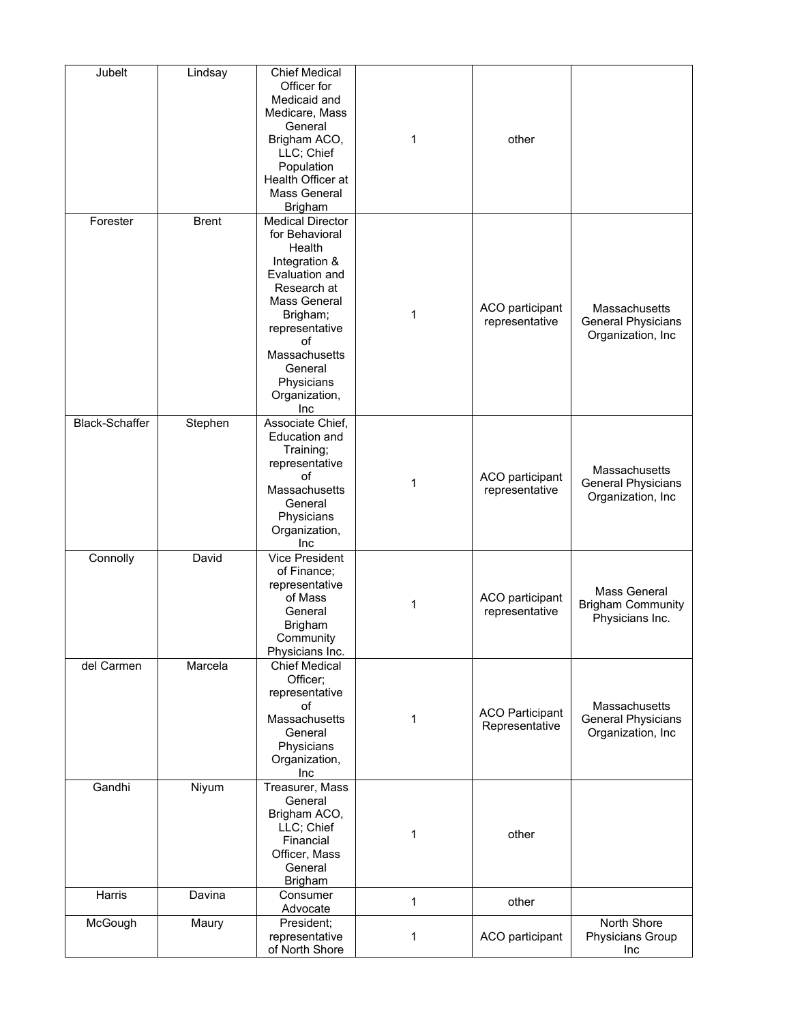| Jubelt                | Lindsay      | <b>Chief Medical</b><br>Officer for<br>Medicaid and<br>Medicare, Mass<br>General<br>Brigham ACO,<br>LLC; Chief<br>Population<br>Health Officer at<br>Mass General<br><b>Brigham</b>                                         | 1            | other                                    |                                                                 |
|-----------------------|--------------|-----------------------------------------------------------------------------------------------------------------------------------------------------------------------------------------------------------------------------|--------------|------------------------------------------|-----------------------------------------------------------------|
| Forester              | <b>Brent</b> | <b>Medical Director</b><br>for Behavioral<br>Health<br>Integration &<br>Evaluation and<br>Research at<br>Mass General<br>Brigham;<br>representative<br>οf<br>Massachusetts<br>General<br>Physicians<br>Organization,<br>Inc | 1            | ACO participant<br>representative        | Massachusetts<br><b>General Physicians</b><br>Organization, Inc |
| <b>Black-Schaffer</b> | Stephen      | Associate Chief,<br>Education and<br>Training;<br>representative<br>of<br>Massachusetts<br>General<br>Physicians<br>Organization,<br>Inc                                                                                    | 1            | ACO participant<br>representative        | Massachusetts<br>General Physicians<br>Organization, Inc        |
| Connolly              | David        | <b>Vice President</b><br>of Finance;<br>representative<br>of Mass<br>General<br><b>Brigham</b><br>Community<br>Physicians Inc.                                                                                              | 1            | ACO participant<br>representative        | Mass General<br><b>Brigham Community</b><br>Physicians Inc.     |
| del Carmen            | Marcela      | <b>Chief Medical</b><br>Officer;<br>representative<br>οf<br>Massachusetts<br>General<br>Physicians<br>Organization,<br>Inc                                                                                                  | 1            | <b>ACO Participant</b><br>Representative | Massachusetts<br>General Physicians<br>Organization, Inc        |
| Gandhi                | Niyum        | Treasurer, Mass<br>General<br>Brigham ACO,<br>LLC; Chief<br>Financial<br>Officer, Mass<br>General<br><b>Brigham</b>                                                                                                         | 1            | other                                    |                                                                 |
| Harris                | Davina       | Consumer<br>Advocate                                                                                                                                                                                                        | $\mathbf{1}$ | other                                    |                                                                 |
| McGough               | Maury        | President;<br>representative<br>of North Shore                                                                                                                                                                              | 1            | ACO participant                          | North Shore<br>Physicians Group<br>Inc                          |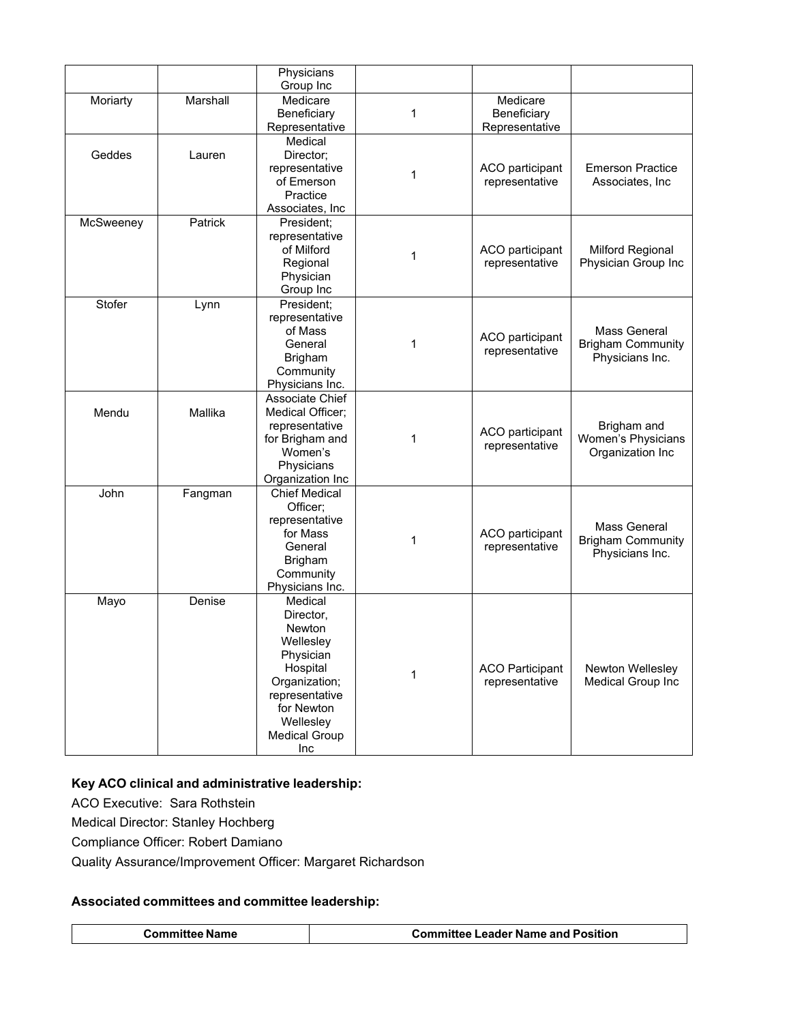|           |          | Physicians<br>Group Inc                                                                                                                                           |   |                                           |                                                             |
|-----------|----------|-------------------------------------------------------------------------------------------------------------------------------------------------------------------|---|-------------------------------------------|-------------------------------------------------------------|
| Moriarty  | Marshall | Medicare<br>Beneficiary<br>Representative                                                                                                                         | 1 | Medicare<br>Beneficiary<br>Representative |                                                             |
| Geddes    | Lauren   | Medical<br>Director;<br>representative<br>of Emerson<br>Practice<br>Associates, Inc.                                                                              | 1 | ACO participant<br>representative         | <b>Emerson Practice</b><br>Associates, Inc.                 |
| McSweeney | Patrick  | President;<br>representative<br>of Milford<br>Regional<br>Physician<br>Group Inc                                                                                  | 1 | ACO participant<br>representative         | <b>Milford Regional</b><br>Physician Group Inc              |
| Stofer    | Lynn     | President;<br>representative<br>of Mass<br>General<br><b>Brigham</b><br>Community<br>Physicians Inc.                                                              | 1 | ACO participant<br>representative         | Mass General<br><b>Brigham Community</b><br>Physicians Inc. |
| Mendu     | Mallika  | Associate Chief<br>Medical Officer;<br>representative<br>for Brigham and<br>Women's<br>Physicians<br>Organization Inc                                             | 1 | ACO participant<br>representative         | Brigham and<br>Women's Physicians<br>Organization Inc       |
| John      | Fangman  | <b>Chief Medical</b><br>Officer;<br>representative<br>for Mass<br>General<br><b>Brigham</b><br>Community<br>Physicians Inc.                                       | 1 | ACO participant<br>representative         | Mass General<br><b>Brigham Community</b><br>Physicians Inc. |
| Mayo      | Denise   | Medical<br>Director,<br>Newton<br>Wellesley<br>Physician<br>Hospital<br>Organization;<br>representative<br>for Newton<br>Wellesley<br><b>Medical Group</b><br>Inc | 1 | <b>ACO Participant</b><br>representative  | Newton Wellesley<br>Medical Group Inc                       |

# **Key ACO clinical and administrative leadership:**

ACO Executive: Sara Rothstein

Medical Director: Stanley Hochberg

Compliance Officer: Robert Damiano

Quality Assurance/Improvement Officer: Margaret Richardson

# **Associated committees and committee leadership:**

| <b>Committee Name</b> | <b>Committee Leader Name and Position</b> |
|-----------------------|-------------------------------------------|
|                       |                                           |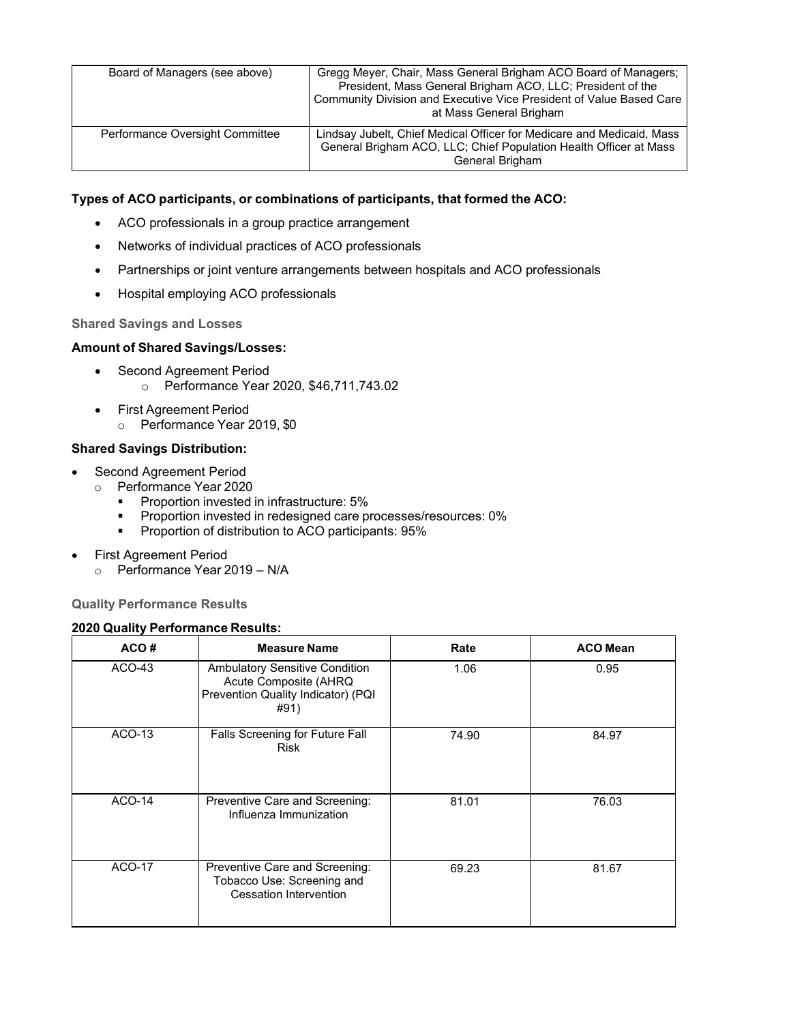| Board of Managers (see above)   | Gregg Meyer, Chair, Mass General Brigham ACO Board of Managers;<br>President, Mass General Brigham ACO, LLC; President of the<br>Community Division and Executive Vice President of Value Based Care<br>at Mass General Brigham |
|---------------------------------|---------------------------------------------------------------------------------------------------------------------------------------------------------------------------------------------------------------------------------|
| Performance Oversight Committee | Lindsay Jubelt, Chief Medical Officer for Medicare and Medicaid, Mass<br>General Brigham ACO, LLC; Chief Population Health Officer at Mass<br>General Brigham                                                                   |

## **Types of ACO participants, or combinations of participants, that formed the ACO:**

- ACO professionals in a group practice arrangement
- Networks of individual practices of ACO professionals
- Partnerships or joint venture arrangements between hospitals and ACO professionals
- Hospital employing ACO professionals

## **Shared Savings and Losses**

### **Amount of Shared Savings/Losses:**

- Second Agreement Period o Performance Year 2020, \$46,711,743.02
- First Agreement Period
	- o Performance Year 2019, \$0

### **Shared Savings Distribution:**

- Second Agreement Period
	- <p>© Performance of the image is</p>\n<p>Example 2020</p>\n<p>Example 2020</p>
		- Proportion invested in infrastructure: 5%
		- **Proportion invested in redesigned care processes/resources: 0%**
		- **Proportion of distribution to ACO participants: 95%**
- First Agreement Period
	- o Performance Year 2019 N/A

**Quality Performance Results**

#### **2020 Quality Performance Results:**

| ACO#          | <b>Measure Name</b>                                                                                          | Rate  | <b>ACO Mean</b> |
|---------------|--------------------------------------------------------------------------------------------------------------|-------|-----------------|
| ACO-43        | <b>Ambulatory Sensitive Condition</b><br>Acute Composite (AHRQ<br>Prevention Quality Indicator) (PQI<br>#91) | 1.06  | 0.95            |
| ACO-13        | Falls Screening for Future Fall<br><b>Risk</b>                                                               | 74.90 | 84.97           |
| <b>ACO-14</b> | Preventive Care and Screening:<br>Influenza Immunization                                                     | 81.01 | 76.03           |
| ACO-17        | Preventive Care and Screening:<br>Tobacco Use: Screening and<br><b>Cessation Intervention</b>                | 69.23 | 81.67           |